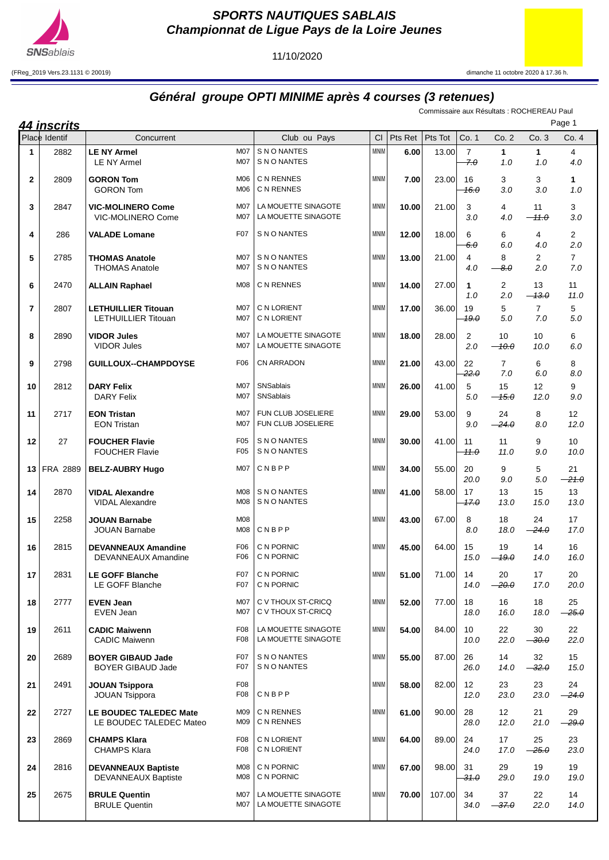

**SPORTS NAUTIQUES SABLAIS Championnat de Ligue Pays de la Loire Jeunes**

11/10/2020

(FReg\_2019 Vers.23.1131 © 20019) dimanche 11 octobre 2020 à 17.36 h.

## **Général groupe OPTI MINIME après 4 courses (3 retenues)**

Commissaire aux Résultats : ROCHEREAU Paul

| <u>44 inscrits</u> |                 |                                                      |                                      |                                            |              |         |         |                       | Page 1                   |                           |                       |
|--------------------|-----------------|------------------------------------------------------|--------------------------------------|--------------------------------------------|--------------|---------|---------|-----------------------|--------------------------|---------------------------|-----------------------|
|                    | Place Identif   | Concurrent                                           |                                      | Club ou Pays                               | CI           | Pts Ret | Pts Tot | Co. 1                 | Co. 2                    | Co. 3                     | Co. 4                 |
| 1                  | 2882            | <b>LE NY Armel</b><br><b>LE NY Armel</b>             | <b>M07</b><br>M07                    | S N O NANTES<br>S N O NANTES               | <b>MINIM</b> | 6.00    | 13.00   | $\overline{7}$<br>7.0 | $\mathbf{1}$<br>1.0      | 1<br>1.0                  | 4<br>4.0              |
| $\mathbf{2}$       | 2809            | <b>GORON Tom</b><br><b>GORON Tom</b>                 | M06<br>M <sub>06</sub>               | C N RENNES<br>C N RENNES                   | <b>MINIM</b> | 7.00    | 23.00   | 16<br>16.0            | 3<br>3.0                 | 3<br>3.0                  | 1<br>1.0              |
| 3                  | 2847            | <b>VIC-MOLINERO Come</b><br>VIC-MOLINERO Come        | M07<br>M07                           | LA MOUETTE SINAGOTE<br>LA MOUETTE SINAGOTE | <b>MINIM</b> | 10.00   | 21.00   | 3<br>3.0              | 4<br>4.0                 | 11<br>$-11.0$             | 3<br>3.0              |
| 4                  | 286             | <b>VALADE Lomane</b>                                 | F07                                  | S N O NANTES                               | <b>MINIM</b> | 12.00   | 18.00   | 6<br>$-6.0$           | 6<br>6.0                 | 4<br>4.0                  | 2<br>2.0              |
| 5                  | 2785            | <b>THOMAS Anatole</b><br><b>THOMAS Anatole</b>       | M07<br>M07                           | S N O NANTES<br>S N O NANTES               | <b>MINIM</b> | 13.00   | 21.00   | 4<br>4.0              | 8<br>$\theta$ . $\theta$ | 2<br>2.0                  | $\overline{7}$<br>7.0 |
| 6                  | 2470            | <b>ALLAIN Raphael</b>                                | M08                                  | C N RENNES                                 | <b>MINIM</b> | 14.00   | 27.00   | $\mathbf{1}$<br>1.0   | $\overline{c}$<br>2.0    | 13<br>$-13.0$             | 11<br>11.0            |
| $\overline{7}$     | 2807            | <b>LETHUILLIER Titouan</b><br>LETHUILLIER Titouan    | M07<br>M07                           | C N LORIENT<br>C N LORIENT                 | <b>MINIM</b> | 17.00   | 36.00   | 19<br>19.0            | 5<br>5.0                 | $\overline{7}$<br>7.0     | 5<br>5.0              |
| 8                  | 2890            | <b>VIDOR Jules</b><br><b>VIDOR Jules</b>             | M07<br>M07                           | LA MOUETTE SINAGOTE<br>LA MOUETTE SINAGOTE | <b>MINIM</b> | 18.00   | 28.00   | 2<br>2.0              | 10<br>$-40.0$            | 10<br>10.0                | 6<br>6.0              |
| 9                  | 2798            | <b>GUILLOUX--CHAMPDOYSE</b>                          | F06                                  | CN ARRADON                                 | <b>MINIM</b> | 21.00   | 43.00   | 22<br>22.0            | $\overline{7}$<br>7.0    | 6<br>6.0                  | 8<br>8.0              |
| 10                 | 2812            | <b>DARY Felix</b><br><b>DARY Felix</b>               | M07<br>M07                           | SNSablais<br>SNSablais                     | <b>MINIM</b> | 26.00   | 41.00   | 5<br>5.0              | 15<br>$-15.0$            | $12 \overline{ }$<br>12.0 | 9<br>9.0              |
| 11                 | 2717            | <b>EON Tristan</b><br><b>EON Tristan</b>             | M07<br>M07                           | FUN CLUB JOSELIERE<br>FUN CLUB JOSELIERE   | <b>MINIM</b> | 29.00   | 53.00   | 9<br>9.0              | 24<br>$-24.0$            | 8<br>8.0                  | 12<br>12.0            |
| 12                 | 27              | <b>FOUCHER Flavie</b><br><b>FOUCHER Flavie</b>       | F <sub>05</sub><br>F <sub>05</sub>   | S N O NANTES<br>S N O NANTES               | <b>MINIM</b> | 30.00   | 41.00   | 11<br><del>11.0</del> | 11<br>11.0               | 9<br>9.0                  | 10<br>10.0            |
| 13 <sup>1</sup>    | <b>FRA 2889</b> | <b>BELZ-AUBRY Hugo</b>                               | M07                                  | CNBPP                                      | <b>MINIM</b> | 34.00   | 55.00   | 20<br>20.0            | 9<br>9.0                 | 5<br>5.0                  | 21<br>$-21.0$         |
| 14                 | 2870            | <b>VIDAL Alexandre</b><br><b>VIDAL Alexandre</b>     | <b>M08</b><br>M08                    | S N O NANTES<br>S N O NANTES               | <b>MINIM</b> | 41.00   | 58.00   | 17<br>17.0            | 13<br>13.0               | 15<br>15.0                | 13<br>13.0            |
| 15                 | 2258            | <b>JOUAN Barnabe</b><br><b>JOUAN Barnabe</b>         | M08<br>M08                           | CNBPP                                      | <b>MINIM</b> | 43.00   | 67.00   | 8<br>8.0              | 18<br>18.0               | 24<br>$-24.0$             | 17<br>17.0            |
| 16                 | 2815            | <b>DEVANNEAUX Amandine</b><br>DEVANNEAUX Amandine    | F06<br>F06                           | C N PORNIC<br>C N PORNIC                   | <b>MINIM</b> | 45.00   | 64.00   | 15<br>15.0            | 19<br>$-19.0$            | 14<br>14.0                | 16<br>16.0            |
| 17                 | 2831            | <b>LE GOFF Blanche</b><br>LE GOFF Blanche            | F07<br>F <sub>0</sub> 7              | C N PORNIC<br>C N PORNIC                   | <b>MINIM</b> | 51.00   | 71.00   | 14<br>14.0            | 20<br>$-20.0$            | 17<br>17.0                | 20<br>20.0            |
| 18                 | 2777            | <b>EVEN Jean</b><br><b>EVEN Jean</b>                 | M07<br>M07                           | C V THOUX ST-CRICQ<br>C V THOUX ST-CRICQ   | <b>MINIM</b> | 52.00   | 77.00   | 18<br>18.0            | 16<br>16.0               | 18<br>18.0                | 25<br>$-25.0$         |
| 19                 | 2611            | <b>CADIC Maiwenn</b><br><b>CADIC Maiwenn</b>         | F <sub>0</sub> 8<br>F <sub>0</sub> 8 | LA MOUETTE SINAGOTE<br>LA MOUETTE SINAGOTE | <b>MINIM</b> | 54.00   | 84.00   | 10<br>10.0            | 22<br>22.0               | 30<br>$-30.0$             | 22<br>22.0            |
| 20                 | 2689            | <b>BOYER GIBAUD Jade</b><br><b>BOYER GIBAUD Jade</b> | F <sub>0</sub> 7<br>F <sub>0</sub> 7 | S N O NANTES<br>S N O NANTES               | <b>MINIM</b> | 55.00   | 87.00   | 26<br>26.0            | 14<br>14.0               | 32<br>$-32.0$             | 15<br>15.0            |
| 21                 | 2491            | <b>JOUAN Tsippora</b><br><b>JOUAN Tsippora</b>       | F08<br>F <sub>0</sub> 8              | CNBPP                                      | <b>MINIM</b> | 58.00   | 82.00   | 12<br>12.0            | 23<br>23.0               | 23<br>23.0                | 24<br>$-24.0$         |
| 22                 | 2727            | LE BOUDEC TALEDEC Mate<br>LE BOUDEC TALEDEC Mateo    | M09<br>M09                           | C N RENNES<br>C N RENNES                   | <b>MINIM</b> | 61.00   | 90.00   | 28<br>28.0            | 12 <sup>°</sup><br>12.0  | 21<br>21.0                | 29<br>$-29.0$         |
| 23                 | 2869            | <b>CHAMPS Klara</b><br><b>CHAMPS Klara</b>           | F <sub>0</sub> 8<br>F <sub>0</sub> 8 | C N LORIENT<br>C N LORIENT                 | <b>MINIM</b> | 64.00   | 89.00   | 24<br>24.0            | 17<br>17.0               | 25<br>$-25.0$             | 23<br>23.0            |
| 24                 | 2816            | <b>DEVANNEAUX Baptiste</b><br>DEVANNEAUX Baptiste    | M08<br>M08                           | C N PORNIC<br>C N PORNIC                   | <b>MINIM</b> | 67.00   | 98.00   | 31<br><del>31.0</del> | 29<br>29.0               | 19<br>19.0                | 19<br>19.0            |
| 25                 | 2675            | <b>BRULE Quentin</b><br><b>BRULE Quentin</b>         | M07<br>M07                           | LA MOUETTE SINAGOTE<br>LA MOUETTE SINAGOTE | <b>MINIM</b> | 70.00   | 107.00  | 34<br>34.0            | 37<br>$-37.0$            | 22<br>22.0                | 14<br>14.0            |
|                    |                 |                                                      |                                      |                                            |              |         |         |                       |                          |                           |                       |